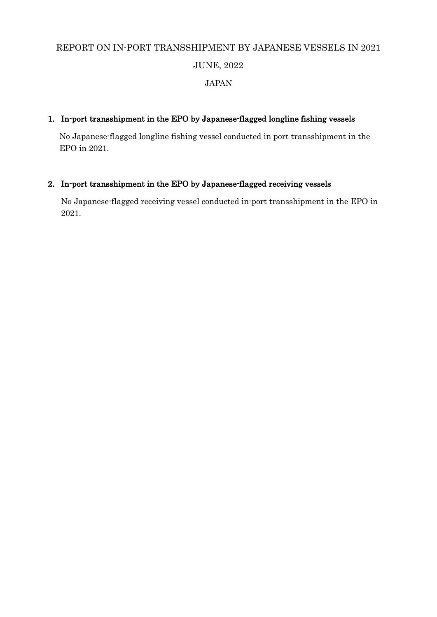# REPORT ON IN-PORT TRANSSHIPMENT BY JAPANESE VESSELS IN 2021 JUNE, 2022

### JAPAN

#### 1. In-port transshipment in the EPO by Japanese-flagged longline fishing vessels

No Japanese-flagged longline fishing vessel conducted in port transshipment in the EPO in 2021.

## 2. In-port transshipment in the EPO by Japanese-flagged receiving vessels

No Japanese-flagged receiving vessel conducted in-port transshipment in the EPO in 2021.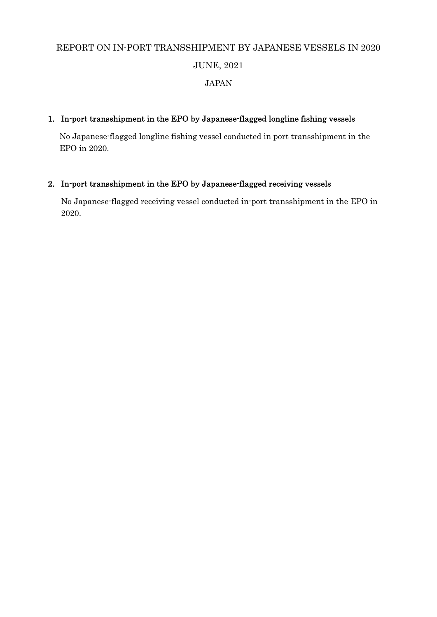# REPORT ON IN-PORT TRANSSHIPMENT BY JAPANESE VESSELS IN 2020 JUNE, 2021

# JAPAN

### 1. In-port transshipment in the EPO by Japanese-flagged longline fishing vessels

No Japanese-flagged longline fishing vessel conducted in port transshipment in the EPO in 2020.

### 2. In-port transshipment in the EPO by Japanese-flagged receiving vessels

No Japanese-flagged receiving vessel conducted in-port transshipment in the EPO in 2020.